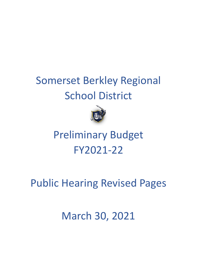# Somerset Berkley Regional School District



# Preliminary Budget FY2021-22

## Public Hearing Revised Pages

## March 30, 2021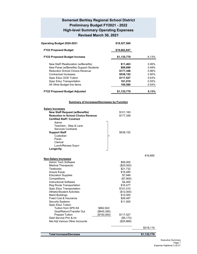#### **Somerset Berkley Regional School District Preliminary Budget FY2021 - 2022 High-level Summary Operating Expenses Revised March 30, 2021**

| Operating Budget 2020-2021              | \$18,527,068 |       |
|-----------------------------------------|--------------|-------|
| <b>FY22 Proposed Budget</b>             | \$19,662,847 |       |
| <b>FY22 Proposed Budget Increase</b>    | \$1,135,779  | 6.13% |
| New Staff / Reallocation (w/Benefits)   | \$11,463     | 0.06% |
| New Paras (w/Benefits) Support Students | \$89,698     | 0.48% |
| <b>Reduction School Choice Revenue</b>  | \$177,348    | 0.96% |
| Contractual Increases                   | \$538,152    | 2.90% |
| Spec Educ OOD Tuition                   | \$117,527    | 0.63% |
| Spec Educ Transportation                | 101,010      | 0.55% |
| All Other Budget line Items             | 100,580      | 0.54% |
| <b>FY22 Proposed Budget Adjusted</b>    | \$1,135,779  | 6.13% |

#### **Summary of Increases/Decreases by Function**

| <b>Salary Increases</b><br><b>New Staff Request (w/Benefits)</b><br><b>Reduction in School Choice Revenue</b><br><b>Certified Staff / Contract</b>        | \$101,160<br>\$177,348 |
|-----------------------------------------------------------------------------------------------------------------------------------------------------------|------------------------|
| Admin<br>Teachers - Step & Lane<br><b>Services Contracts</b><br><b>Support Staff</b><br>Custodian<br>Paras<br>Clerical<br>Lunch/Recess Supvr<br>Longevity | \$538,152              |
|                                                                                                                                                           | 816,660                |
| <b>Non-Salary Increases</b><br><b>Admin Tech Software</b>                                                                                                 |                        |
| <b>Medical Therapeutic</b>                                                                                                                                | \$56,000<br>(\$20,000) |
| Textbooks                                                                                                                                                 | \$21,732               |
| <b>Acquis Equip</b>                                                                                                                                       | \$16,480               |
| <b>Education Supplies</b>                                                                                                                                 | \$7,946                |
| Competitions                                                                                                                                              | (\$7,900)              |
| <b>Instructional Software</b>                                                                                                                             | \$4,400                |
| Reg Route Transportation                                                                                                                                  | \$16,477               |
| Spec Educ Transportation                                                                                                                                  | \$101,010              |
| <b>Athletic/Student Activities</b>                                                                                                                        | (\$12,000)             |
| <b>Maint Buildings</b>                                                                                                                                    | \$10,500               |
| Fixed Cost & Insurance                                                                                                                                    | \$26,487               |
| <b>Security Systems</b>                                                                                                                                   | \$11,500               |
| Spec Educ Tuition<br>Tuition from SPS K8                                                                                                                  |                        |
| \$862,922<br>Grad/Return/Transfer Out<br>(\$645,395)                                                                                                      |                        |
| <b>Prepaid Tuition</b><br>(\$100,000)                                                                                                                     | \$117,527              |
| Debt Service Prin & Int                                                                                                                                   | (\$5,173)              |
| Net Adj Various Other Accounts                                                                                                                            | (\$25,868)             |
|                                                                                                                                                           | \$319,119              |
| <b>Total Increase/Decrease</b>                                                                                                                            | \$1,135,779            |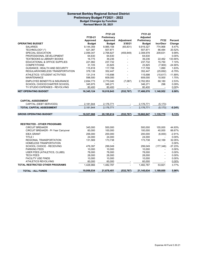#### **Somerset Berkley Regional School District Preliminary Budget FY2021 - 2022 Budget Changes by Function Revised March 30, 2021**

|                                            |                   | FY21-22           |                   | FY21-22           |             |           |
|--------------------------------------------|-------------------|-------------------|-------------------|-------------------|-------------|-----------|
|                                            | FY20-21           | Preliminary       |                   | Adjusted          |             |           |
|                                            | Approved          | Approved          | <b>Adjustment</b> | Preliminary       | <b>FY22</b> | Percent   |
| <b>OPERATING BUDGET</b>                    | <b>Budget</b>     | <b>Budget</b>     | 3/30/21           | <b>Budget</b>     | Incr/Decr   | Change    |
| <b>SALARIES</b>                            | 9,144,359         | 9,985,158         | (65, 831)         | 9,919,327         | 774,968     | 8.47%     |
| TECHNOLOGY (*)                             | 421,387           | 507,871           | $\overline{a}$    | 507,871           | 86,484      | 20.52%    |
| <b>SPECIAL EDUCATION</b>                   | 2,099,347         | 2,768,827         | (459, 849)        | 2,308,978         | 209,631     | 9.99%     |
| PROFESSIONAL DEVELOPMENT                   | 64,630            | 64,630            |                   | 64,630            | $\sim$      | 0.00%     |
| <b>TEXTBOOKS &amp; LIBRARY BOOKS</b>       | 16.775            | 39,236            |                   | 39,236            | 22.462      | 133.90%   |
| EDUCATIONAL & OFFICE SUPPLIES              | 221,982           | 237,732           |                   | 237,732           | 15,750      | 7.10%     |
| <b>COMPETITIONS</b>                        | 31,725            | 23,825            |                   | 23,825            | (7,900)     | $-24.90%$ |
| GUIDANCE, HEALTH AND SECURITY              | 115,818           | 117,708           |                   | 117,708           | 1,890       | 1.63%     |
| REGULAR/HOMELESS TRANSPORTATION            | 378,139           | 352,447           |                   | 352,447           | (25, 692)   | $-6.79%$  |
| ATHLETICS / STUDENT ACTIVTIES              | 131,314           | 115,698           |                   | 115,698           | (15, 617)   | $-11.89%$ |
| <b>MAINTENANCE</b>                         | 598,500           | 609,000           |                   | 609,000           | 10,500      | 1.75%     |
| <b>EMPLOYEE BENEFITS &amp; INSURANCE</b>   | 2,694,773         | 2,770,040         | (7,087)           | 2,762,953         | 68,180      | 2.53%     |
| SCHOOL CHOICE/CHARTER SCHOOL               | 345,975           | 346,271           |                   | 346,271           | 296         | 0.09%     |
| TV STUDIO EXPENSES - REVOLVING             | 80,400            | 80,400            |                   | 80,400            |             | 0.00%     |
|                                            |                   |                   |                   |                   |             |           |
| <b>NET OPERATING BUDGET</b>                | 16,345,124        | 18,018,843        | (532, 767)        | 17,486,076        | 1,140,952   | 6.98%     |
|                                            |                   |                   |                   |                   |             |           |
|                                            |                   |                   |                   |                   |             |           |
| <b>CAPITAL ASSESSMENT</b>                  |                   |                   |                   |                   |             |           |
| CAPITAL (DEBT SERVICES)                    | 2,181,944         | 2,176,771         |                   | 2,176,771         | (5, 173)    |           |
| <b>TOTAL CAPITAL ASSESSMENT</b>            | 2,181,944         | 2,176,771         | $\blacksquare$    | 2,176,771         | (5, 173)    | $-0.24%$  |
|                                            |                   |                   |                   |                   |             |           |
| <b>GROSS OPERATING BUDGET</b>              | 18,527,068        | 20,195,614        | (532, 767)        | 19,662,847        | 1,135,779   | 6.13%     |
|                                            |                   |                   |                   |                   |             |           |
|                                            |                   |                   |                   |                   |             |           |
| <b>RESTRICTED - OTHER PROGRAMS</b>         |                   |                   |                   |                   |             |           |
| <b>CIRCUIT BREAKER</b>                     | 345,000           | 500,000           |                   | 500,000           | 155,000     | 44.93%    |
| <b>CIRCUIT BREAKER - Pr Year Carryover</b> | 60,000            | 100,000           |                   | 100,000           | 40,000      | 66.67%    |
| <b>IDEA GRANT</b>                          |                   |                   |                   |                   |             | $-2.91%$  |
| TITLE I                                    | 206,000<br>24,000 | 200,000<br>24,000 |                   | 200,000<br>24,000 | (6,000)     | 0.00%     |
| REGIONAL TRANSPORTATION                    | 131,569           | 173,738           |                   | 173,738           | 42,169      | 32.05%    |
| <b>HOMELESS TRANPORTATION</b>              |                   |                   |                   |                   |             | 0.00%     |
| SCHOOL CHOICE - RECEIVING                  | 476.397           | 299.049           |                   | 299.049           |             | $-37.23%$ |
| <b>PARKING FEES</b>                        | 10,000            | 10,000            |                   | 10,000            | (177, 348)  | 0.00%     |
| USER FEES (ATHLETICS, CLUBS)               | 78,000            | 78,000            |                   | 78,000            |             | 0.00%     |
| <b>TECH FEES</b>                           | 28,000            | 28,000            |                   | 28,000            |             | 0.00%     |
| <b>FACILITY USE FINDS</b>                  |                   |                   |                   | 10,000            |             | 0.00%     |
| <b>ATHLETICS REVOLVING</b>                 | 10,000<br>60,000  | 10,000<br>60,000  |                   | 60,000            |             | 0.00%     |
|                                            |                   |                   |                   |                   |             |           |
| <b>TOTAL RESTRICTED OTHER PROGRAMS</b>     | 1,428,966         | 1,482,787         |                   | 1,482,787         | 53,821      | 3.77%     |
| <b>TOTAL - ALL FUNDS</b>                   | 19,956,034        | 21,678,401        | (532, 767)        | 21,145,634        | 1,189,600   | 5.96%     |
|                                            |                   |                   |                   |                   |             |           |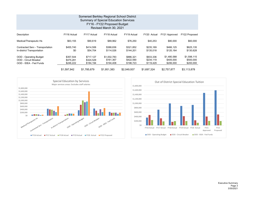| Somerset Berkley Regional School District<br><b>Summary of Special Education Services</b><br>FY16 - FY22 Proposed Budget<br>Revised March 30, 2021 |                                     |                                     |                                       |                                     |                                     |                                       |                                       |  |  |  |  |  |  |
|----------------------------------------------------------------------------------------------------------------------------------------------------|-------------------------------------|-------------------------------------|---------------------------------------|-------------------------------------|-------------------------------------|---------------------------------------|---------------------------------------|--|--|--|--|--|--|
| Description                                                                                                                                        | FY16 Actual                         | FY17 Actual                         | FY18 Actual                           | FY19 Actual                         | FY20 Actual                         | FY21 Approved                         | FY22 Proposed                         |  |  |  |  |  |  |
| Medical/Therapeutic Hs                                                                                                                             | \$63,155                            | \$90.619                            | \$89,962                              | \$76,250                            | \$40,253                            | \$80,000                              | \$60,000                              |  |  |  |  |  |  |
| Contracted Serv - Transportation<br>In-district Transportation                                                                                     | \$455,740<br>\$0                    | \$414,506<br>\$54,704               | \$388,836<br>\$114,026                | \$321,852<br>\$144,201              | \$235,169<br>\$135,018              | \$466,125<br>\$120,164                | \$625,135<br>\$130,628                |  |  |  |  |  |  |
| <b>OOD - Operating Budget</b><br>OOD - Circuit Breaker<br>OOD - IDEA - Fed Funds                                                                   | \$357,544<br>\$475.281<br>\$246.222 | \$717.127<br>\$324,529<br>\$184,194 | \$1,002,783<br>\$161,367<br>\$194,408 | \$886.321<br>\$422,590<br>\$198,723 | \$933,336<br>\$234,119<br>\$119,429 | \$1,480,588<br>\$405,000<br>\$206,000 | \$1,598,115<br>\$500,000<br>\$200,000 |  |  |  |  |  |  |
|                                                                                                                                                    | \$1.597.942                         | \$1,785,679                         | \$1,951,383                           | \$2.049.937                         | \$1.697.324                         | \$2,757,877                           | \$3.113.878                           |  |  |  |  |  |  |



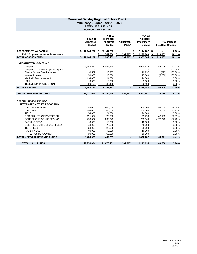#### **Somerset Berkley Regional School District Preliminary Budget FY2021 - 2022 REVENUE ALL FUNDS Revised March 30, 2021**

|                                                                    | FY20-21<br>Approved<br><b>Budget</b> | FY21-22<br>Preliminary<br>Approved | <b>Budget</b> | <b>Adjustment</b><br>3/30/21 | FY21-22<br><b>Adjusted</b><br>Preliminary<br><b>Budget</b> |    | <b>Incr/Decr Change</b>  | FY22 Percent |
|--------------------------------------------------------------------|--------------------------------------|------------------------------------|---------------|------------------------------|------------------------------------------------------------|----|--------------------------|--------------|
| <b>ASSESSMENTS W/ CAPITAL</b>                                      | 12,144,282<br>\$                     | S<br>12,144,282                    |               |                              | \$<br>12,144,282 \$                                        |    |                          | $0.00\%$     |
| <b>FY22 Proposed Increase Assessment</b>                           |                                      | 1,761,850<br>\$                    |               | $(532, 767)$ \$<br>S         | 1,229,083                                                  | s  | 1,229,083                | 10.12%       |
| <b>TOTAL ASSESSMENTS</b>                                           | 12,144,282                           | \$<br>13,906,132 \$                |               | $(532, 767)$ \$              | 13,373,365                                                 | \$ | 1,229,083                | 10.12%       |
| <b>UNRESTRICTED - STATE AID</b>                                    |                                      |                                    |               |                              |                                                            |    |                          |              |
| Chapter 70                                                         | 6,142,834                            | 6,054,825                          |               |                              | 6,054,825                                                  |    | (88,009)                 | $-1.43%$     |
| Chapter 70 - Student Opportunity Act                               |                                      |                                    |               |                              |                                                            |    |                          | 100.00%      |
| Charter School Reimbursement                                       | 16,552                               | 16,257                             |               |                              | 16,257                                                     |    | (295)                    | 100.00%      |
| Interest Income                                                    | 20,000                               | 15,000                             |               |                              | 15,000                                                     |    | (5,000)                  | 100.00%      |
| <b>Medicaid Reimbursement</b>                                      | 114,000                              | 114,000                            |               |                              | 114,000                                                    |    |                          | 0.00%        |
| eRate                                                              | 9,000                                |                                    | 9,000         |                              | 9,000                                                      |    |                          | 0.00%        |
| <b>TELEVISION PRODUCTION</b>                                       | 80,400                               | 80,400                             |               |                              | 80,400                                                     |    |                          | 0.00%        |
| <b>TOTAL REVENUE</b>                                               | 6,382,786                            | 6,289,482                          |               |                              | 6,289,482                                                  |    | (93, 304)                | $-1.46%$     |
|                                                                    |                                      |                                    |               |                              |                                                            |    |                          |              |
| <b>GROSS OPERATING BUDGET</b>                                      | 18,527,068                           | 20,195,614                         |               | (532, 767)                   | 19,662,847                                                 |    | 1,135,779                | 6.13%        |
| <b>SPECIAL REVENUE FUNDS</b><br><b>RESTRICTED - OTHER PROGRAMS</b> |                                      |                                    |               |                              |                                                            |    |                          |              |
| <b>CIRCUIT BREAKER</b>                                             | 405,000                              | 600,000                            |               |                              | 600,000                                                    |    | 195,000                  | 48.15%       |
| <b>IDEA GRANT</b>                                                  | 206,000                              | 200,000                            |               |                              | 200,000                                                    |    | (6,000)                  | $-2.91%$     |
| <b>TITLE I</b>                                                     | 24,000                               | 24,000                             |               |                              | 24,000                                                     |    | $\blacksquare$           | 0.00%        |
| <b>REGIONAL TRANSPORTATION</b>                                     | 131,569                              | 173,738                            |               |                              | 173,738                                                    |    | 42,169                   | 32.05%       |
| SCHOOL CHOICE - RECEIVING                                          | 476.397                              | 299,049                            |               |                              | 299,049                                                    |    | (177, 348)               | $-37.23%$    |
| <b>PARKING FEES</b>                                                | 10,000                               | 10,000                             |               |                              | 10,000                                                     |    |                          | 0.00%        |
| USER FEES (ATHLETICS, CLUBS)                                       | 78,000                               | 78,000                             |               |                              | 78,000                                                     |    |                          | $0.00\%$     |
| TEHC FEES                                                          | 28,000                               | 28,000                             |               |                              | 28,000                                                     |    |                          | 0.00%        |
| <b>FACILITY USE</b>                                                | 10,000                               | 10,000                             |               |                              | 10,000                                                     |    |                          | 0.00%        |
| <b>ATHLETICS REVOLVING</b>                                         | 60,000                               | 60,000                             |               |                              | 60,000                                                     |    | $\overline{\phantom{a}}$ | 0.00%        |
| <b>TOTAL - SPECIAL REVENUE FUNDS</b>                               | 1,428,966                            | 1,482,787                          |               |                              | 1,482,787                                                  |    | 53,821                   | 3.77%        |
| <b>TOTAL - ALL FUNDS</b>                                           | 19,956,034                           | 21,678,401                         |               | (532, 767)                   | 21,145,634                                                 |    | 1,189,600                | 5.96%        |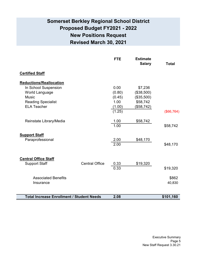## **Somerset Berkley Regional School District Proposed Budget FY2021 - 2022 New Positions Request Revised March 30, 2021**

|                                                  |                       | <b>FTE</b> | <b>Estimate</b><br><b>Salary</b> | <b>Total</b> |
|--------------------------------------------------|-----------------------|------------|----------------------------------|--------------|
| <b>Certified Staff</b>                           |                       |            |                                  |              |
| <b>Reductions/Reallocation</b>                   |                       |            |                                  |              |
| In School Suspension                             |                       | 0.00       | \$7,236                          |              |
| World Language                                   |                       | (0.80)     | (\$38,500)                       |              |
| <b>Music</b>                                     |                       | (0.45)     | (\$35,500)                       |              |
| <b>Reading Specialist</b>                        |                       | 1.00       | \$58,742                         |              |
| <b>ELA Teacher</b>                               |                       | (1.00)     | (\$58,742)                       |              |
|                                                  |                       | (1.25)     |                                  | (\$66,764)   |
| Reinstate Library/Media                          |                       | 1.00       | \$58,742                         |              |
|                                                  |                       | 1.00       |                                  | \$58,742     |
| <b>Support Staff</b>                             |                       |            |                                  |              |
| Paraprofessional                                 |                       | 2.00       | \$48,170                         |              |
|                                                  |                       | 2.00       |                                  | \$48,170     |
|                                                  |                       |            |                                  |              |
| <b>Central Office Staff</b>                      |                       |            |                                  |              |
| <b>Support Staff</b>                             | <b>Central Office</b> | 0.33       | \$19,320                         |              |
|                                                  |                       | 0.33       |                                  | \$19,320     |
| <b>Associated Benefits</b>                       |                       |            |                                  | \$862        |
| Insurance                                        |                       |            |                                  | 40,830       |
|                                                  |                       |            |                                  |              |
| <b>Total Increase Enrollment / Student Needs</b> |                       | 2.08       |                                  | \$101,160    |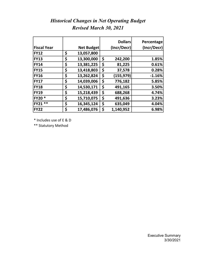|                    |                   | <b>Dollars</b>  | Percentage  |
|--------------------|-------------------|-----------------|-------------|
| <b>Fiscal Year</b> | <b>Net Budget</b> | (Incr/Decr)     | (Incr/Decr) |
| <b>FY12</b>        | \$<br>13,057,800  |                 |             |
| <b>FY13</b>        | \$<br>13,300,000  | \$<br>242,200   | 1.85%       |
| <b>FY14</b>        | \$<br>13,381,225  | \$<br>81,225    | 0.61%       |
| <b>FY15</b>        | \$<br>13,418,803  | \$<br>37,578    | 0.28%       |
| <b>FY16</b>        | \$<br>13,262,824  | \$<br>(155,979) | $-1.16%$    |
| <b>FY17</b>        | \$<br>14,039,006  | \$<br>776,182   | 5.85%       |
| <b>FY18</b>        | \$<br>14,530,171  | \$<br>491,165   | 3.50%       |
| <b>FY19</b>        | \$<br>15,218,439  | \$<br>688,268   | 4.74%       |
| <b>FY20*</b>       | \$<br>15,710,075  | \$<br>491,636   | 3.23%       |
| **<br><b>FY21</b>  | \$<br>16,345,124  | \$<br>635,049   | 4.04%       |
| <b>FY22</b>        | \$<br>17,486,076  | \$<br>1,140,952 | 6.98%       |

## *Historical Changes in Net Operating Budget Revised March 30, 2021*

\* Includes use of E & D

\*\* Statutory Method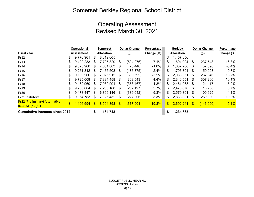## Somerset Berkley Regional School District

## Operating Assessment Revised March 30, 2021

|                                       |     | Operational  | Somerset     |                   |     | <b>Dollar Change</b> | Percentage   |              | <b>Berkley</b>    |               | <b>Dollar Change</b> | Percentage |
|---------------------------------------|-----|--------------|--------------|-------------------|-----|----------------------|--------------|--------------|-------------------|---------------|----------------------|------------|
| <b>Fiscal Year</b>                    |     | Assessment   |              | <b>Allocation</b> |     | <u>(২)</u>           | Change (%)   |              | <b>Allocation</b> |               | <u>(২)</u>           | Change (%) |
| <b>FY12</b>                           | S   | 9,776,961    | S.           | 8,319,605         |     |                      |              | \$           | 1,457,356         |               |                      |            |
| <b>FY13</b>                           |     | 9,420,233    | S            | 7,725,329         | \$. | (594, 276)           | $-7.1%$      | \$           | 1,694,904         | \$            | 237,548              | 16.3%      |
| <b>FY14</b>                           | S   | 9,323,960    | S            | 7,651,883         | S   | (73, 446)            | $-1.0%$      | \$           | 1,637,206         | S             | (57, 698)            | $-3.4%$    |
| <b>FY15</b>                           | \$. | 9,261,812    | S            | 7,465,508         | \$. | (186, 375)           | $-2.4%$      | \$           | 1,796,304         | \$            | 159,098              | 9.7%       |
| <b>FY16</b>                           |     | 9,109,266    | S            | 7,075,915         | \$. | (389,592)            | $-5.2%$      | \$           | 2,033,351         | S             | 237,046              | 13.2%      |
| <b>FY17</b>                           | S   | 9,725,009    | S            | 7,384,458         | \$. | 308,543              | 4.4%         | \$.          | 2,340,551         | \$            | 307,200              | 15.1%      |
| <b>FY18</b>                           | \$. | 9,462,960    | \$.          | 7,030,991         | S.  | (353, 467)           | $-4.8%$      | \$           | 2,461,968         | S             | 121,417              | 5.2%       |
| <b>FY19</b>                           |     | 9,766,864    | S            | 7,288,188         | \$. | 257,197              | 3.7%         | \$           | 2,478,676         | \$.           | 16,708               | 0.7%       |
| <b>FY20</b>                           | S   | 9,478,447    | S            | 6,899,146         | S.  | (389, 042)           | $-5.3%$      | \$.          | 2,579,301         | \$            | 100,625              | 4.1%       |
| <b>FY21 Statutory</b>                 | \$  | 9,964,783    | \$           | 7,126,452         | \$  | 227,306              | 3.3%         | \$           | 2,838,331         | \$            | 259,030              | 10.0%      |
| <b>FY22 (Preliminary) Alternative</b> |     |              |              |                   |     |                      |              |              |                   |               |                      |            |
| <b>Revised 3/30/31</b>                |     | \$11,196,594 | $\mathbb{S}$ | 8,504,353         | \$. | 1,377,901            | <b>19.3%</b> | $\mathbb{S}$ | 2,692,241         | $\mathbf{\$}$ | (146,090)            | $-5.1%$    |
| <b>Cumulative Increase since 2012</b> |     |              |              | 184,748           |     |                      |              | \$           | 1,234,885         |               |                      |            |